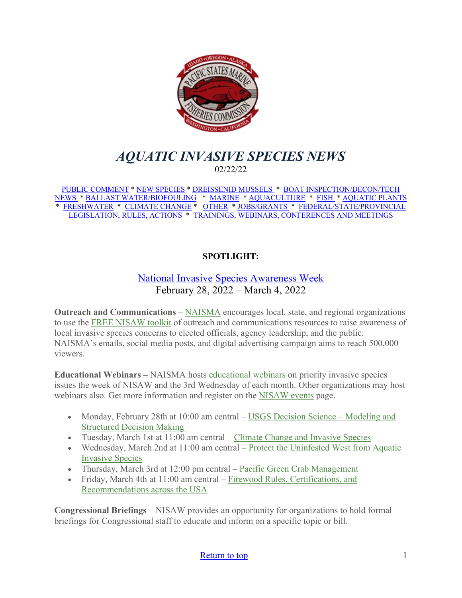<span id="page-0-0"></span>

# *AQUATIC INVASIVE SPECIES NEWS* 02/22/22

[PUBLIC COMMENT](#page-1-0) \* [NEW SPECIES](#page-1-1) \* [DREISSENID MUSSELS](#page-3-0) \* [BOAT INSPECTION/DECON/TECH](#page-4-0)  [NEWS](#page-4-0) [\\* BALLAST WATER/BIOFOULING](#page-4-1) \* [MARINE](#page-4-2) \* [AQUACULTURE](#page-5-0) \* [FISH](#page-6-0) \* [AQUATIC PLANTS](#page-6-1)  \* [FRESHWATER](#page-7-0) \* [CLIMATE CHANGE](#page-7-1) \* [OTHER](#page-8-0) \* [JOBS/GRANTS](#page-10-0) \* [FEDERAL/STATE/PROVINCIAL](#page-13-0)  [LEGISLATION, RULES, ACTIONS](#page-13-0) \* [TRAININGS, WEBINARS, CONFERENCES AND MEETINGS](#page-18-0) 

## **SPOTLIGHT:**

## [National Invasive Species Awareness Week](https://www.nisaw.org/?utm_medium=email&utm_source=govdelivery) February 28, 2022 – March 4, 2022

**Outreach and Communications** – [NAISMA](http://www.naisma.org/) encourages local, state, and regional organizations to use the [FREE NISAW toolkit](https://www.nisaw.org/nisaw-toolkit/) of outreach and communications resources to raise awareness of local invasive species concerns to elected officials, agency leadership, and the public. NAISMA's emails, social media posts, and digital advertising campaign aims to reach 500,000 viewers.

**Educational Webinars –** NAISMA hosts [educational webinars](https://naisma.org/events/) on priority invasive species issues the week of NISAW and the 3rd Wednesday of each month. Other organizations may host webinars also. Get more information and register on the [NISAW events](https://www.nisaw.org/events/) page.

- Monday, February 28th at 10:00 am central USGS Decision Science Modeling and [Structured Decision Making](https://us02web.zoom.us/webinar/register/WN_0J-1-BfzR4mkJt6enpckxQ)
- Tuesday, March 1st at 11:00 am central – [Climate Change and Invasive Species](https://us02web.zoom.us/webinar/register/WN_Xa6xeLs5Ry6vEB3waHn9ig)
- Wednesday, March 2nd at 11:00 am central Protect the Uninfested West from Aquatic [Invasive Species](https://us02web.zoom.us/webinar/register/WN_VEKO1lJSSyeMKbGePfCDWw)
- Thursday, March 3rd at 12:00 pm central – [Pacific Green Crab](https://us02web.zoom.us/webinar/register/WN_ExOXqmYRScy9HdAjuaFiPA) Management
- Friday, March 4th at 11:00 am central Firewood Rules, Certifications, and [Recommendations across the USA](https://us02web.zoom.us/webinar/register/WN_cefwZTH3SyiHnKTpfoz89w)

**Congressional Briefings** – NISAW provides an opportunity for organizations to hold formal briefings for Congressional staff to educate and inform on a specific topic or bill.

#### [Return to top](#page-0-0) 1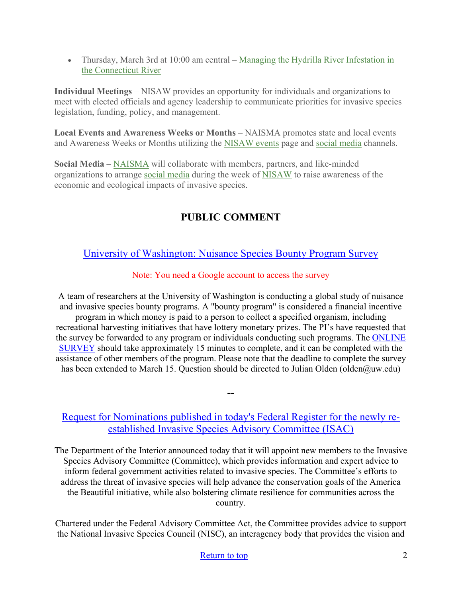• Thursday, March 3rd at 10:00 am central – Managing the Hydrilla River Infestation in [the Connecticut River](https://us02web.zoom.us/webinar/register/WN_ryTR6sZPTeqLEz2W2pnS5w)

**Individual Meetings** – NISAW provides an opportunity for individuals and organizations to meet with elected officials and agency leadership to communicate priorities for invasive species legislation, funding, policy, and management.

**Local Events and Awareness Weeks or Months** – NAISMA promotes state and local events and Awareness Weeks or Months utilizing the [NISAW events](https://www.nisaw.org/events/) page and [social media](https://www.facebook.com/invasivespeciesweek) channels.

**Social Media** – [NAISMA](https://www.facebook.com/NAISMAorg) will collaborate with members, partners, and like-minded organizations to arrange [social media](https://www.nisaw.org/nisaw-toolkit/) during the week of [NISAW](https://www.facebook.com/invasivespeciesweek) to raise awareness of the economic and ecological impacts of invasive species.

# **PUBLIC COMMENT**

<span id="page-1-1"></span><span id="page-1-0"></span>[University of Washington: Nuisance Species Bounty Program Survey](https://docs.google.com/forms/d/e/1FAIpQLScCZn_zzVgTqTxqnaB7mrSfswT0AzPJQZUiTZ3FfpL9ts19gg/viewform)

## Note: You need a Google account to access the survey

A team of researchers at the University of Washington is conducting a global study of nuisance and invasive species bounty programs. A "bounty program" is considered a financial incentive program in which money is paid to a person to collect a specified organism, including recreational harvesting initiatives that have lottery monetary prizes. The PI's have requested that the survey be forwarded to any program or individuals conducting such programs. The [ONLINE](https://docs.google.com/forms/d/e/1FAIpQLScCZn_zzVgTqTxqnaB7mrSfswT0AzPJQZUiTZ3FfpL9ts19gg/viewform)  [SURVEY](https://docs.google.com/forms/d/e/1FAIpQLScCZn_zzVgTqTxqnaB7mrSfswT0AzPJQZUiTZ3FfpL9ts19gg/viewform) should take approximately 15 minutes to complete, and it can be completed with the assistance of other members of the program. Please note that the deadline to complete the survey has been extended to March 15. Question should be directed to Julian Olden (olden@uw.edu)

## [Request for Nominations published in today's Federal Register for the newly re](https://www.doi.gov/pressreleases/interior-department-calls-nominations-serve-committee-coordinating-federal-actions)[established Invasive Species Advisory Committee \(ISAC\)](https://www.doi.gov/pressreleases/interior-department-calls-nominations-serve-committee-coordinating-federal-actions)

**--**

The Department of the Interior announced today that it will appoint new members to the Invasive Species Advisory Committee (Committee), which provides information and expert advice to inform federal government activities related to invasive species. The Committee's efforts to address the threat of invasive species will help advance the conservation goals of the America the Beautiful initiative, while also bolstering climate resilience for communities across the country.

Chartered under the Federal Advisory Committee Act, the Committee provides advice to support the National Invasive Species Council (NISC), an interagency body that provides the vision and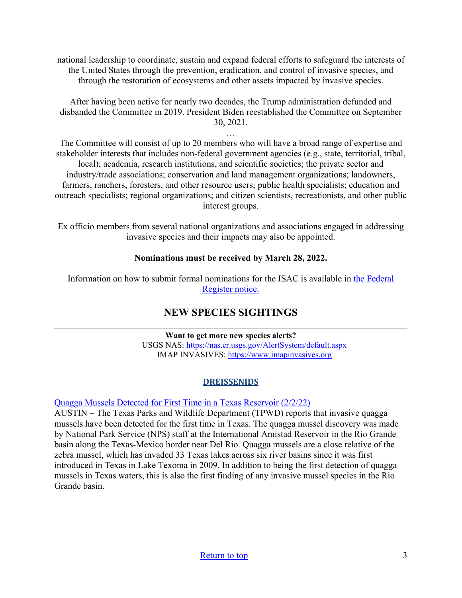national leadership to coordinate, sustain and expand federal efforts to safeguard the interests of the United States through the prevention, eradication, and control of invasive species, and through the restoration of ecosystems and other assets impacted by invasive species.

After having been active for nearly two decades, the Trump administration defunded and disbanded the Committee in 2019. President Biden reestablished the Committee on September 30, 2021.

…

The Committee will consist of up to 20 members who will have a broad range of expertise and stakeholder interests that includes non-federal government agencies (e.g., state, territorial, tribal, local); academia, research institutions, and scientific societies; the private sector and industry/trade associations; conservation and land management organizations; landowners, farmers, ranchers, foresters, and other resource users; public health specialists; education and outreach specialists; regional organizations; and citizen scientists, recreationists, and other public interest groups.

Ex officio members from several national organizations and associations engaged in addressing invasive species and their impacts may also be appointed.

#### **Nominations must be received by March 28, 2022.**

Information on how to submit formal nominations for the ISAC is available in [the Federal](https://www.federalregister.gov/public-inspection/2022-01390/requests-for-nominations-invasive-species-advisory-committee)  [Register notice.](https://www.federalregister.gov/public-inspection/2022-01390/requests-for-nominations-invasive-species-advisory-committee)

## **NEW SPECIES SIGHTINGS**

**Want to get more new species alerts?** USGS NAS:<https://nas.er.usgs.gov/AlertSystem/default.aspx> IMAP INVASIVES: [https://www.imapinvasives.org](https://www.imapinvasives.org/)

## **DREISSENIDS**

[Quagga Mussels Detected for First Time in a Texas Reservoir \(2/2/22\)](https://tpwd.texas.gov/newsmedia/releases/?req=20220202a)

AUSTIN – The Texas Parks and Wildlife Department (TPWD) reports that invasive quagga mussels have been detected for the first time in Texas. The quagga mussel discovery was made by National Park Service (NPS) staff at the International Amistad Reservoir in the Rio Grande basin along the Texas-Mexico border near Del Rio. Quagga mussels are a close relative of the zebra mussel, which has invaded 33 Texas lakes across six river basins since it was first introduced in Texas in Lake Texoma in 2009. In addition to being the first detection of quagga mussels in Texas waters, this is also the first finding of any invasive mussel species in the Rio Grande basin.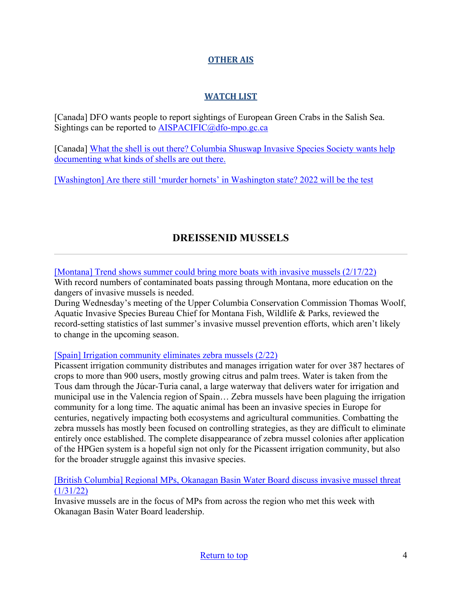#### **OTHER AIS**

## **WATCH LIST**

[Canada] DFO wants people to report sightings of European Green Crabs in the Salish Sea. Sightings can be reported to [AISPACIFIC@dfo-mpo.gc.ca](mailto:AISPACIFIC@dfo-mpo.gc.ca)

[Canada] [What the shell is out there? Columbia Shuswap Invasive Species Society wants help](https://www.castanet.net/news/Salmon-Arm/344047/Columbia-Shuswap-Invasive-Species-Society-wants-help-documenting-what-kinds-of-shells-are-out-there)  [documenting what kinds of shells are out there.](https://www.castanet.net/news/Salmon-Arm/344047/Columbia-Shuswap-Invasive-Species-Society-wants-help-documenting-what-kinds-of-shells-are-out-there) 

[\[Washington\] Are there still 'murder hornets' in Washington state? 2022 will be the test](https://fox59.com/news/are-there-still-murder-hornets-in-washington-state-2022-will-be-the-test/) 

# **DREISSENID MUSSELS**

<span id="page-3-0"></span>[\[Montana\] Trend shows summer could bring more boats with invasive mussels \(2/17/22\)](https://www.kpax.com/news/montana-news/trend-shows-summer-could-bring-more-boats-with-invasive-mussels)

With record numbers of contaminated boats passing through Montana, more education on the dangers of invasive mussels is needed.

During Wednesday's meeting of the Upper Columbia Conservation Commission Thomas Woolf, Aquatic Invasive Species Bureau Chief for Montana Fish, Wildlife & Parks, reviewed the record-setting statistics of last summer's invasive mussel prevention efforts, which aren't likely to change in the upcoming season.

#### [\[Spain\] Irrigation community eliminates zebra mussels \(2/22\)](https://www.hortidaily.com/article/9399125/irrigation-community-eliminates-zebra-mussels/)

Picassent irrigation community distributes and manages irrigation water for over 387 hectares of crops to more than 900 users, mostly growing citrus and palm trees. Water is taken from the Tous dam through the Júcar-Turia canal, a large waterway that delivers water for irrigation and municipal use in the Valencia region of Spain… Zebra mussels have been plaguing the irrigation community for a long time. The aquatic animal has been an invasive species in Europe for centuries, negatively impacting both ecosystems and agricultural communities. Combatting the zebra mussels has mostly been focused on controlling strategies, as they are difficult to eliminate entirely once established. The complete disappearance of zebra mussel colonies after application of the HPGen system is a hopeful sign not only for the Picassent irrigation community, but also for the broader struggle against this invasive species.

#### [\[British Columbia\] Regional MPs, Okanagan Basin Water Board discuss invasive mussel threat](https://www.castanet.net/news/Vernon/358392/Regional-MPs-Okanagan-Basin-Water-Board-discuss-invasive-mussel-threat)   $(1/31/22)$

Invasive mussels are in the focus of MPs from across the region who met this week with Okanagan Basin Water Board leadership.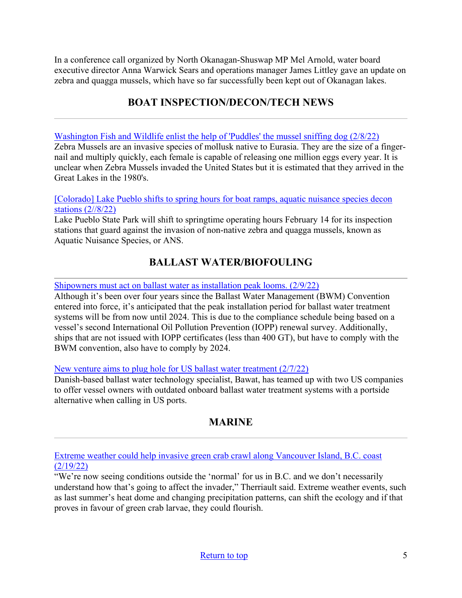In a conference call organized by North Okanagan-Shuswap MP Mel Arnold, water board executive director Anna Warwick Sears and operations manager James Littley gave an update on zebra and quagga mussels, which have so far successfully been kept out of Okanagan lakes.

# **BOAT INSPECTION/DECON/TECH NEWS**

<span id="page-4-0"></span>[Washington Fish and Wildlife enlist the help of 'Puddles' the mussel sniffing dog \(2/8/22\)](https://www.khq.com/news/washington-fish-and-wildlife-enlist-the-help-of-puddles-the-mussel-sniffing-dog/article_bee7c4d8-8944-11ec-8b46-dbe20697152e.html)

Zebra Mussels are an invasive species of mollusk native to Eurasia. They are the size of a fingernail and multiply quickly, each female is capable of releasing one million eggs every year. It is unclear when Zebra Mussels invaded the United States but it is estimated that they arrived in the Great Lakes in the 1980's.

#### [Colorado] Lake Pueblo shifts to spring hours for boat ramps, aquatic nuisance species decon [stations \(2//8/22\)](https://kiowacountypress.net/content/lake-pueblo-shifts-spring-hours-boat-ramps-aquatic-nuisance-species-decon-stations%C2%A0)

Lake Pueblo State Park will shift to springtime operating hours February 14 for its inspection stations that guard against the invasion of non-native zebra and quagga mussels, known as Aquatic Nuisance Species, or ANS.

## **BALLAST WATER/BIOFOULING**

<span id="page-4-1"></span>[Shipowners must act on ballast water as installation peak looms. \(2/9/22\)](https://www.lr.org/en/insights/articles/shipowners-must-act-on-ballast-water-as-installation-peak-looms/)

Although it's been over four years since the Ballast Water Management (BWM) Convention entered into force, it's anticipated that the peak installation period for ballast water treatment systems will be from now until 2024. This is due to the compliance schedule being based on a vessel's second International Oil Pollution Prevention (IOPP) renewal survey. Additionally, ships that are not issued with IOPP certificates (less than 400 GT), but have to comply with the BWM convention, also have to comply by 2024.

[New venture aims to plug hole for US ballast water treatment \(2/7/22\)](https://www.seatrade-maritime.com/ship-operations/new-venture-aims-plug-hole-us-ballast-water-treatment)

Danish-based ballast water technology specialist, Bawat, has teamed up with two US companies to offer vessel owners with outdated onboard ballast water treatment systems with a portside alternative when calling in US ports.

# **MARINE**

<span id="page-4-2"></span>[Extreme weather could help invasive green crab crawl along Vancouver Island, B.C. coast](https://www.saanichnews.com/news/extreme-weather-could-help-invasive-green-crab-crawl-along-vancouver-island-b-c-coast/)  [\(2/19/22\)](https://www.saanichnews.com/news/extreme-weather-could-help-invasive-green-crab-crawl-along-vancouver-island-b-c-coast/)

"We're now seeing conditions outside the 'normal' for us in B.C. and we don't necessarily understand how that's going to affect the invader," Therriault said. Extreme weather events, such as last summer's heat dome and changing precipitation patterns, can shift the ecology and if that proves in favour of green crab larvae, they could flourish.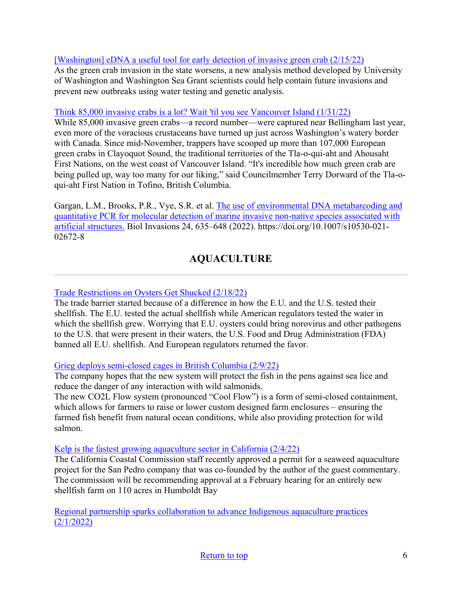#### [\[Washington\] eDNA a useful tool for early detection of invasive green crab \(2/15/22\)](https://www.washington.edu/news/2022/02/15/edna-a-useful-tool-for-early-detection-of-invasive-green-crab/)

As the green crab invasion in the state worsens, a new analysis method developed by University of Washington and Washington Sea Grant scientists could help contain future invasions and prevent new outbreaks using water testing and genetic analysis.

#### [Think 85,000 invasive crabs is a lot? Wait 'til you see Vancouver Island \(1/31/22\)](https://www.kuow.org/stories/80-000-invasive-crabs-is-a-lot-wait-til-you-see-vancouver-island)

While 85,000 invasive green crabs—a record number—were captured near Bellingham last year, even more of the voracious crustaceans have turned up just across Washington's watery border with Canada. Since mid-November, trappers have scooped up more than 107,000 European green crabs in Clayoquot Sound, the traditional territories of the Tla-o-qui-aht and Ahousaht First Nations, on the west coast of Vancouver Island. "It's incredible how much green crab are being pulled up, way too many for our liking," said Councilmember Terry Dorward of the Tla-oqui-aht First Nation in Tofino, British Columbia.

Gargan, L.M., Brooks, P.R., Vye, S.R. et al. [The use of environmental DNA metabarcoding and](https://link.springer.com/article/10.1007/s10530-021-02672-8?noAccess=true#citeas)  [quantitative PCR for molecular detection of marine invasive non-native species associated with](https://link.springer.com/article/10.1007/s10530-021-02672-8?noAccess=true#citeas)  [artificial structures.](https://link.springer.com/article/10.1007/s10530-021-02672-8?noAccess=true#citeas) Biol Invasions 24, 635–648 (2022). https://doi.org/10.1007/s10530-021- 02672-8

# **AQUACULTURE**

#### <span id="page-5-0"></span>[Trade Restrictions on Oysters Get Shucked \(2/18/22\)](https://reason.com/2022/02/18/trade-restrictions-on-oysters-get-shucked/)

The trade barrier started because of a difference in how the E.U. and the U.S. tested their shellfish. The E.U. tested the actual shellfish while American regulators tested the water in which the shellfish grew. Worrying that E.U. oysters could bring norovirus and other pathogens to the U.S. that were present in their waters, the U.S. Food and Drug Administration (FDA) banned all E.U. shellfish. And European regulators returned the favor.

#### [Grieg deploys semi-closed cages in British Columbia \(2/9/22\)](https://www.fishfarmermagazine.com/news/grieg-deploys-semi-closed-cages-in-british-columbia/)

The company hopes that the new system will protect the fish in the pens against sea lice and reduce the danger of any interaction with wild salmonids.

The new CO2L Flow system (pronounced "Cool Flow") is a form of semi-closed containment, which allows for farmers to raise or lower custom designed farm enclosures – ensuring the farmed fish benefit from natural ocean conditions, while also providing protection for wild salmon.

#### [Kelp is the fastest growing aquaculture sector in California \(2/4/22\)](https://calmatters.org/commentary/reader-reactions/2022/02/kelp-is-the-fastest-growing-aquaculture-sector-in-california/)

The California Coastal Commission staff recently approved a permit for a seaweed aquaculture project for the San Pedro company that was co-founded by the author of the guest commentary. The commission will be recommending approval at a February hearing for an entirely new shellfish farm on 110 acres in Humboldt Bay

[Regional partnership sparks collaboration to advance Indigenous aquaculture practices](https://alaska-native-news.com/regional-partnership-sparks-collaboration-to-advance-indigenous-aquaculture-practices/59903/)  [\(2/1/2022\)](https://alaska-native-news.com/regional-partnership-sparks-collaboration-to-advance-indigenous-aquaculture-practices/59903/)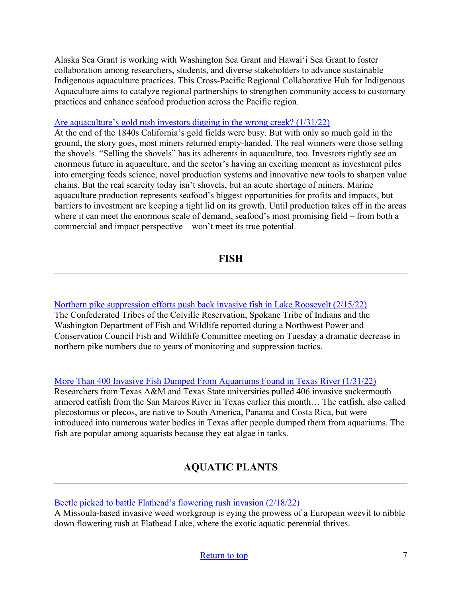Alaska Sea Grant is working with Washington Sea Grant and Hawaiʻi Sea Grant to foster collaboration among researchers, students, and diverse stakeholders to advance sustainable Indigenous aquaculture practices. This Cross-Pacific Regional Collaborative Hub for Indigenous Aquaculture aims to catalyze regional partnerships to strengthen community access to customary practices and enhance seafood production across the Pacific region.

#### [Are aquaculture's gold rush investors digging in the wrong creek? \(1/31/22\)](https://thefishsite.com/articles/are-aquacultures-gold-rush-investors-digging-in-the-wrong-creek)

At the end of the 1840s California's gold fields were busy. But with only so much gold in the ground, the story goes, most miners returned empty-handed. The real winners were those selling the shovels. "Selling the shovels" has its adherents in aquaculture, too. Investors rightly see an enormous future in aquaculture, and the sector's having an exciting moment as investment piles into emerging feeds science, novel production systems and innovative new tools to sharpen value chains. But the real scarcity today isn't shovels, but an acute shortage of miners. Marine aquaculture production represents seafood's biggest opportunities for profits and impacts, but barriers to investment are keeping a tight lid on its growth. Until production takes off in the areas where it can meet the enormous scale of demand, seafood's most promising field – from both a commercial and impact perspective – won't meet its true potential.

**FISH**

<span id="page-6-0"></span>[Northern pike suppression efforts push back invasive fish in Lake Roosevelt \(2/15/22\)](https://www.kuow.org/stories/northern-pike-suppression-efforts-push-back-invasive-fish-in-lake-roosevelt) The Confederated Tribes of the Colville Reservation, Spokane Tribe of Indians and the Washington Department of Fish and Wildlife reported during a Northwest Power and Conservation Council Fish and Wildlife Committee meeting on Tuesday a dramatic decrease in northern pike numbers due to years of monitoring and suppression tactics.

#### [More Than 400 Invasive Fish Dumped From Aquariums Found in Texas River \(1/31/22\)](https://www.smithsonianmag.com/smart-news/four-hundred-invasive-fish-dumped-from-aquariums-found-in-texas-river-180979485/)

Researchers from Texas A&M and Texas State universities pulled 406 invasive suckermouth armored catfish from the San Marcos River in Texas earlier this month… The catfish, also called plecostomus or plecos, are native to South America, Panama and Costa Rica, but were introduced into numerous water bodies in Texas after people dumped them from aquariums. The fish are popular among aquarists because they eat algae in tanks.

# **AQUATIC PLANTS**

<span id="page-6-1"></span>[Beetle picked to battle Flathead's flowering rush invasion \(2/18/22\)](https://dailyinterlake.com/news/2022/feb/18/0218-flathead-weevil/)

A Missoula-based invasive weed workgroup is eying the prowess of a European weevil to nibble down flowering rush at Flathead Lake, where the exotic aquatic perennial thrives.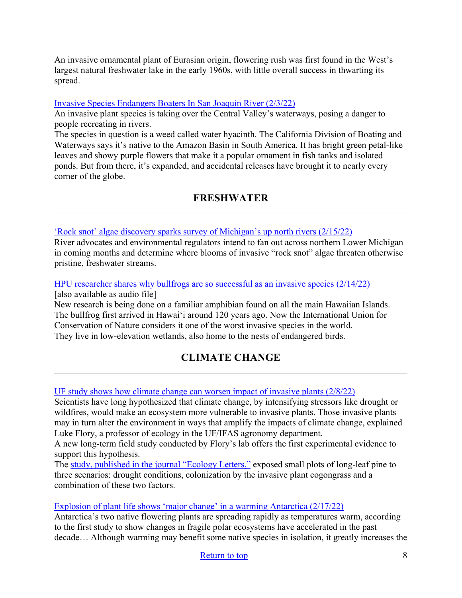An invasive ornamental plant of Eurasian origin, flowering rush was first found in the West's largest natural freshwater lake in the early 1960s, with little overall success in thwarting its spread.

#### [Invasive Species Endangers Boaters In San Joaquin River \(2/3/22\)](https://fishbio.com/news/invasive-species-endangers-boaters-san-joaquin-river)

An invasive plant species is taking over the Central Valley's waterways, posing a danger to people recreating in rivers.

The species in question is a weed called water hyacinth. The California Division of Boating and Waterways says it's native to the Amazon Basin in South America. It has bright green petal-like leaves and showy purple flowers that make it a popular ornament in fish tanks and isolated ponds. But from there, it's expanded, and accidental releases have brought it to nearly every corner of the globe.

## **FRESHWATER**

<span id="page-7-0"></span>['Rock snot' algae discovery sparks survey of Michigan's up north rivers \(2/15/22\)](https://www.mlive.com/public-interest/2022/02/rock-snot-algae-discovery-sparks-survey-of-michigans-up-north-rivers.html)

River advocates and environmental regulators intend to fan out across northern Lower Michigan in coming months and determine where blooms of invasive "rock snot" algae threaten otherwise pristine, freshwater streams.

[HPU researcher shares why bullfrogs are so successful as an invasive species \(2/14/22\)](https://www.hawaiipublicradio.org/the-conversation/2022-02-14/hpu-researcher-shares-why-bullfrogs-are-so-successful-as-an-invasive-species) [also available as audio file]

New research is being done on a familiar amphibian found on all the main Hawaiian Islands. The bullfrog first arrived in Hawaiʻi around 120 years ago. Now the International Union for Conservation of Nature considers it one of the worst invasive species in the world. They live in low-elevation wetlands, also home to the nests of endangered birds.

# **CLIMATE CHANGE**

#### <span id="page-7-1"></span>[UF study shows how climate change can worsen impact of invasive plants \(2/8/22\)](https://www.newswise.com/articles/uf-study-shows-how-climate-change-can-worsen-impact-of-invasive-plants)

Scientists have long hypothesized that climate change, by intensifying stressors like drought or wildfires, would make an ecosystem more vulnerable to invasive plants. Those invasive plants may in turn alter the environment in ways that amplify the impacts of climate change, explained Luke Flory, a professor of ecology in the UF/IFAS agronomy department.

A new long-term field study conducted by Flory's lab offers the first experimental evidence to support this hypothesis.

The [study, published in the journal "Ecology Letters,"](https://urldefense.proofpoint.com/v2/url?u=https-3A__onlinelibrary.wiley.com_doi_full_10.1111_ele.13974&d=DwMGaQ&c=sJ6xIWYx-zLMB3EPkvcnVg&r=3xE8FJs1nVELYUHKYd1_zg&m=38KwG5PqNhQRn2S3_82BjXpHED_C0DRkH9YuH3yYFaZh1HM2hkbGpC1g_1bRzOOe&s=7VC_hkoP6K32soqAhVq-kFRab-Vo4lvaL2vIHOnkeWo&e=) exposed small plots of long-leaf pine to three scenarios: drought conditions, colonization by the invasive plant cogongrass and a combination of these two factors.

#### [Explosion of plant life shows 'major change' in a warming Antarctica \(2/17/22\)](https://www.nationalobserver.com/2022/02/16/news/explosion-plant-life-shows-major-change-warming-antarctica)

Antarctica's two native flowering plants are spreading rapidly as temperatures warm, according to the first study to show changes in fragile polar ecosystems have accelerated in the past decade… Although warming may benefit some native species in isolation, it greatly increases the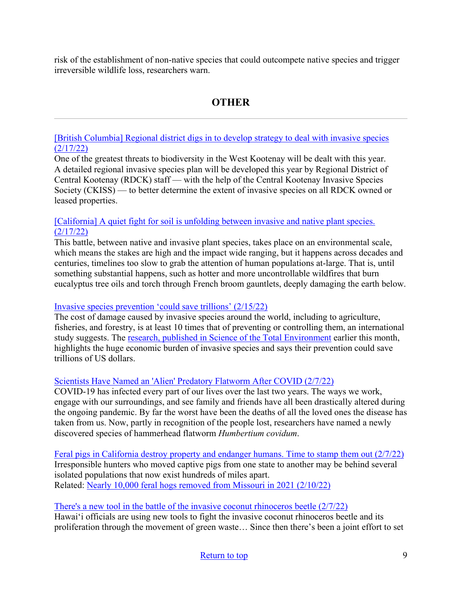risk of the establishment of non-native species that could outcompete native species and trigger irreversible wildlife loss, researchers warn.

# **OTHER**

<span id="page-8-0"></span>[\[British Columbia\] Regional district digs in to develop strategy to deal with invasive species](http://boundarysentinel.com/news/regional-district-digs-develop-strategy-deal-invasive-species#.YhQUKi2ZPVo)  [\(2/17/22\)](http://boundarysentinel.com/news/regional-district-digs-develop-strategy-deal-invasive-species#.YhQUKi2ZPVo)

One of the greatest threats to biodiversity in the West Kootenay will be dealt with this year. A detailed regional invasive species plan will be developed this year by Regional District of Central Kootenay (RDCK) staff — with the help of the Central Kootenay Invasive Species Society (CKISS) — to better determine the extent of invasive species on all RDCK owned or leased properties.

#### [\[California\] A quiet fight for soil is unfolding between invasive and native plant species.](https://www.montereycountyweekly.com/news/cover/a-quiet-fight-for-soil-is-unfolding-between-invasive-and-native-plant-species/article_436b26e6-8f71-11ec-8aa7-e7ea37c04755.html)  [\(2/17/22\)](https://www.montereycountyweekly.com/news/cover/a-quiet-fight-for-soil-is-unfolding-between-invasive-and-native-plant-species/article_436b26e6-8f71-11ec-8aa7-e7ea37c04755.html)

This battle, between native and invasive plant species, takes place on an environmental scale, which means the stakes are high and the impact wide ranging, but it happens across decades and centuries, timelines too slow to grab the attention of human populations at-large. That is, until something substantial happens, such as hotter and more uncontrollable wildfires that burn eucalyptus tree oils and torch through French broom gauntlets, deeply damaging the earth below.

#### [Invasive species prevention 'could save trillions' \(2/15/22\)](https://www.scidev.net/global/news/invasive-species-prevention-could-save-trillions/)

The cost of damage caused by invasive species around the world, including to agriculture, fisheries, and forestry, is at least 10 times that of preventing or controlling them, an international study suggests. The [research, published in Science of the Total Environment](https://www.sciencedirect.com/science/article/pii/S004896972200496X?via%3Dihub) earlier this month, highlights the huge economic burden of invasive species and says their prevention could save trillions of US dollars.

## [Scientists Have Named an 'Alien' Predatory Flatworm After COVID \(2/7/22\)](https://www.sciencealert.com/scientists-named-a-predatory-flatworm-after-covid-19?utm_medium=email&utm_source=govdelivery)

COVID-19 has infected every part of our lives over the last two years. The ways we work, engage with our surroundings, and see family and friends have all been drastically altered during the ongoing pandemic. By far the worst have been the deaths of all the loved ones the disease has taken from us. Now, partly in recognition of the people lost, researchers have named a newly discovered species of hammerhead flatworm *Humbertium covidum*.

[Feral pigs in California destroy property and endanger humans. Time to stamp them out \(2/7/22\)](https://www.nbcnews.com/think/opinion/feral-pigs-california-destroy-property-endanger-humans-time-stamp-them-ncna1288772) Irresponsible hunters who moved captive pigs from one state to another may be behind several isolated populations that now exist hundreds of miles apart. Related: [Nearly 10,000 feral hogs removed from Missouri in 2021 \(2/10/22\)](https://fox4kc.com/news/missouri-news/nearly-10000-feral-hogs-removed-from-missouri-in-2021/)

#### [There's a new tool in the battle of the invasive coconut rhinoceros beetle \(2/7/22\)](https://www.hawaiipublicradio.org/the-conversation/2022-02-07/theres-a-new-tool-in-the-battle-of-the-invasive-coconut-rhinoceros-beetle)

Hawaiʻi officials are using new tools to fight the invasive coconut rhinoceros beetle and its proliferation through the movement of green waste… Since then there's been a joint effort to set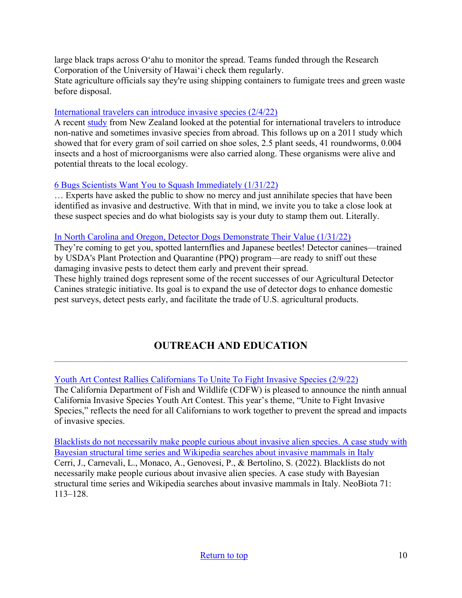large black traps across Oʻahu to monitor the spread. Teams funded through the Research Corporation of the University of Hawaiʻi check them regularly. State agriculture officials say they're using shipping containers to fumigate trees and green waste before disposal.

#### [International travelers can introduce invasive species \(2/4/22\)](https://www.earth.com/news/international-travelers-can-introduce-invasive-species/)

A recent [study](https://neobiota.pensoft.net/article/64618/?utm_medium=email&utm_source=govdelivery) from New Zealand looked at the potential for international travelers to introduce non-native and sometimes invasive species from abroad. This follows up on a 2011 study which showed that for every gram of soil carried on shoe soles, 2.5 plant seeds, 41 roundworms, 0.004 insects and a host of microorganisms were also carried along. These organisms were alive and potential threats to the local ecology.

#### [6 Bugs Scientists Want You to Squash Immediately \(1/31/22\)](https://gizmodo.com/worst-invasive-bug-species-united-states-1848423715)

… Experts have asked the public to show no mercy and just annihilate species that have been identified as invasive and destructive. With that in mind, we invite you to take a close look at these suspect species and do what biologists say is your duty to stamp them out. Literally.

#### [In North Carolina and Oregon, Detector Dogs Demonstrate Their Value \(1/31/22\)](https://www.aphis.usda.gov/aphis/ourfocus/planthealth/ppq-program-overview/plant-protection-today/articles/detector-dogs-lanternflies-beetles?utm_source=feedburner&utm_medium=email)

They're coming to get you, spotted lanternflies and Japanese beetles! Detector canines—trained by USDA's Plant Protection and Quarantine (PPQ) program—are ready to sniff out these damaging invasive pests to detect them early and prevent their spread.

These highly trained dogs represent some of the recent successes of our Agricultural Detector Canines strategic initiative. Its goal is to expand the use of detector dogs to enhance domestic pest surveys, detect pests early, and facilitate the trade of U.S. agricultural products.

# **OUTREACH AND EDUCATION**

[Youth Art Contest Rallies Californians To Unite To Fight Invasive Species \(2/9/22\)](https://wildlife.ca.gov/News/youth-art-contest-rallies-californians-to-unite-to-fight-invasive-species)

The California Department of Fish and Wildlife (CDFW) is pleased to announce the ninth annual California Invasive Species Youth Art Contest. This year's theme, "Unite to Fight Invasive Species," reflects the need for all Californians to work together to prevent the spread and impacts of invasive species.

[Blacklists do not necessarily make people curious about invasive alien species. A case study with](https://neobiota.pensoft.net/article/69422/?utm_medium=email&utm_source=govdelivery)  [Bayesian structural time series and Wikipedia searches about invasive mammals in Italy](https://neobiota.pensoft.net/article/69422/?utm_medium=email&utm_source=govdelivery) Cerri, J., Carnevali, L., Monaco, A., Genovesi, P., & Bertolino, S. (2022). Blacklists do not necessarily make people curious about invasive alien species. A case study with Bayesian structural time series and Wikipedia searches about invasive mammals in Italy. NeoBiota 71: 113–128.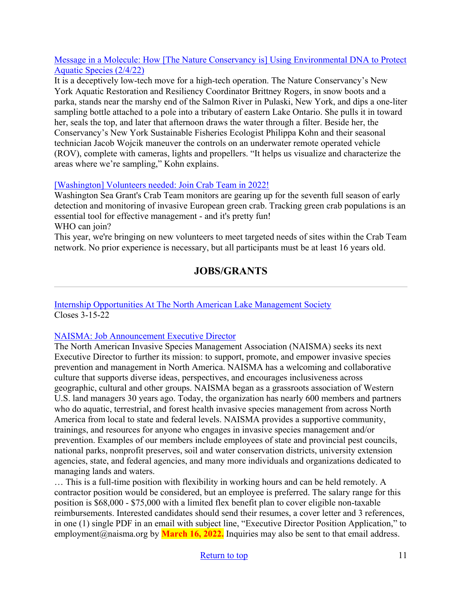#### [Message in a Molecule: How \[The Nature Conservancy is\] Using Environmental DNA to Protect](https://www.nature.org/en-us/about-us/where-we-work/united-states/new-york/stories-in-new-york/sampling-edna-protect-species/)  [Aquatic Species \(2/4/22\)](https://www.nature.org/en-us/about-us/where-we-work/united-states/new-york/stories-in-new-york/sampling-edna-protect-species/)

It is a deceptively low-tech move for a high-tech operation. The Nature Conservancy's New York Aquatic Restoration and Resiliency Coordinator Brittney Rogers, in snow boots and a parka, stands near the marshy end of the Salmon River in Pulaski, New York, and dips a one-liter sampling bottle attached to a pole into a tributary of eastern Lake Ontario. She pulls it in toward her, seals the top, and later that afternoon draws the water through a filter. Beside her, the Conservancy's New York Sustainable Fisheries Ecologist Philippa Kohn and their seasonal technician Jacob Wojcik maneuver the controls on an underwater remote operated vehicle (ROV), complete with cameras, lights and propellers. "It helps us visualize and characterize the areas where we're sampling," Kohn explains.

#### [\[Washington\] Volunteers needed: Join Crab Team in 2022!](https://wsg.washington.edu/crabteam/getinvolved/)

Washington Sea Grant's Crab Team monitors are gearing up for the seventh full season of early detection and monitoring of invasive European green crab. Tracking green crab populations is an essential tool for effective management - and it's pretty fun! WHO can join?

<span id="page-10-0"></span>This year, we're bringing on new volunteers to meet targeted needs of sites within the Crab Team network. No prior experience is necessary, but all participants must be at least 16 years old.

## **JOBS/GRANTS**

#### [Internship Opportunities At The North American Lake Management Society](https://www.nalms.org/nalms-internship-opportunities-2022/) Closes 3-15-22

#### [NAISMA: Job Announcement Executive Director](https://naisma.org/wp-content/uploads/2022/02/NAISMA-Executive-Director-Position-Jan-2022.pdf)

The North American Invasive Species Management Association (NAISMA) seeks its next Executive Director to further its mission: to support, promote, and empower invasive species prevention and management in North America. NAISMA has a welcoming and collaborative culture that supports diverse ideas, perspectives, and encourages inclusiveness across geographic, cultural and other groups. NAISMA began as a grassroots association of Western U.S. land managers 30 years ago. Today, the organization has nearly 600 members and partners who do aquatic, terrestrial, and forest health invasive species management from across North America from local to state and federal levels. NAISMA provides a supportive community, trainings, and resources for anyone who engages in invasive species management and/or prevention. Examples of our members include employees of state and provincial pest councils, national parks, nonprofit preserves, soil and water conservation districts, university extension agencies, state, and federal agencies, and many more individuals and organizations dedicated to managing lands and waters.

… This is a full-time position with flexibility in working hours and can be held remotely. A contractor position would be considered, but an employee is preferred. The salary range for this position is \$68,000 - \$75,000 with a limited flex benefit plan to cover eligible non-taxable reimbursements. Interested candidates should send their resumes, a cover letter and 3 references, in one (1) single PDF in an email with subject line, "Executive Director Position Application," to employment@naisma.org by **March 16, 2022.** Inquiries may also be sent to that email address.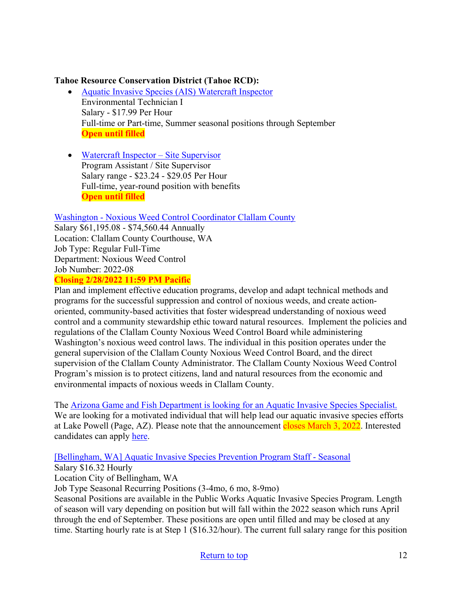#### **Tahoe Resource Conservation District (Tahoe RCD):**

- [Aquatic Invasive Species \(AIS\) Watercraft Inspector](https://tahoercd.org/wp-content/uploads/2022/02/Watercraft-Inspector_2022.pdf) Environmental Technician I Salary ‐ \$17.99 Per Hour Full-time or Part-time, Summer seasonal positions through September **Open until filled**
- [Watercraft Inspector](https://tahoercd.org/wp-content/uploads/2022/02/AIS-Site-Supervisor_2022.pdf)  Site Supervisor Program Assistant / Site Supervisor Salary range ‐ \$23.24 - \$29.05 Per Hour Full-time, year-round position with benefits **Open until filled**

#### Washington - [Noxious Weed Control Coordinator Clallam County](https://www.governmentjobs.com/careers/clallam/jobs/3413392/noxious-weed-control-coordinator?pagetyp)

Salary \$61,195.08 - \$74,560.44 Annually Location: Clallam County Courthouse, WA Job Type: Regular Full-Time Department: Noxious Weed Control Job Number: 2022-08

#### **Closing 2/28/2022 11:59 PM Pacific**

Plan and implement effective education programs, develop and adapt technical methods and programs for the successful suppression and control of noxious weeds, and create actionoriented, community-based activities that foster widespread understanding of noxious weed control and a community stewardship ethic toward natural resources. Implement the policies and regulations of the Clallam County Noxious Weed Control Board while administering Washington's noxious weed control laws. The individual in this position operates under the general supervision of the Clallam County Noxious Weed Control Board, and the direct supervision of the Clallam County Administrator. The Clallam County Noxious Weed Control Program's mission is to protect citizens, land and natural resources from the economic and environmental impacts of noxious weeds in Clallam County.

The [Arizona Game and Fish Department is looking for an Aquatic Invasive Species Specialist.](https://www.azstatejobs.gov/jobs/aquatic-invasive-species-specialist-page-arizona-united-states-phoenix)  We are looking for a motivated individual that will help lead our aquatic invasive species efforts at Lake Powell (Page, AZ). Please note that the announcement closes March 3, 2022. Interested

candidates can apply [here.](https://www.azstatejobs.gov/jobs/aquatic-invasive-species-specialist-page-arizona-united-states-phoenix)

#### [\[Bellingham, WA\] Aquatic Invasive Species Prevention Program Staff](https://www.governmentjobs.com/careers/cobwa/jobs/3392121/aquatic-invasive-species-prevention-program-staff-seasonal) - Seasonal

Salary \$16.32 Hourly

Location City of Bellingham, WA

Job Type Seasonal Recurring Positions (3-4mo, 6 mo, 8-9mo)

Seasonal Positions are available in the Public Works Aquatic Invasive Species Program. Length of season will vary depending on position but will fall within the 2022 season which runs April through the end of September. These positions are open until filled and may be closed at any time. Starting hourly rate is at Step 1 (\$16.32/hour). The current full salary range for this position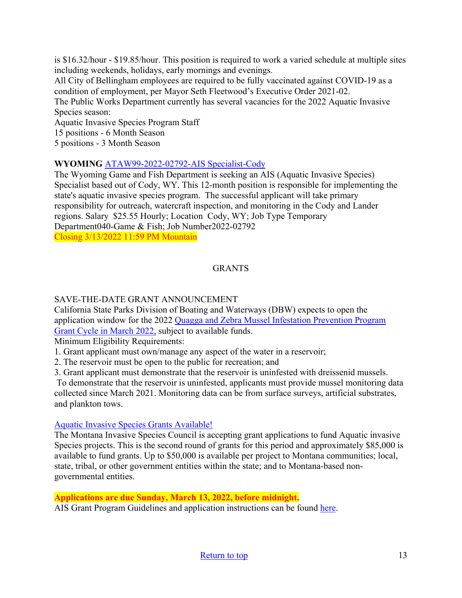is \$16.32/hour - \$19.85/hour. This position is required to work a varied schedule at multiple sites including weekends, holidays, early mornings and evenings. All City of Bellingham employees are required to be fully vaccinated against COVID-19 as a condition of employment, per Mayor Seth Fleetwood's Executive Order 2021-02. The Public Works Department currently has several vacancies for the 2022 Aquatic Invasive Species season:

Aquatic Invasive Species Program Staff 15 positions - 6 Month Season

5 positions - 3 Month Season

#### **WYOMING** ATAW99-2022-02792-[AIS Specialist](https://www.governmentjobs.com/careers/wyoming/jobs/3420693/ataw99-2022-02792-ais-specialist-cody?keywords=ais&pagetype=jobOpportunitiesJobs)-Cody

The Wyoming Game and Fish Department is seeking an AIS (Aquatic Invasive Species) Specialist based out of Cody, WY. This 12-month position is responsible for implementing the state's aquatic invasive species program. The successful applicant will take primary responsibility for outreach, watercraft inspection, and monitoring in the Cody and Lander regions. Salary \$25.55 Hourly; Location Cody, WY; Job Type Temporary Department040-Game & Fish; Job Number2022-02792 Closing 3/13/2022 11:59 PM Mountain

## GRANTS

### SAVE-THE-DATE GRANT ANNOUNCEMENT

California State Parks Division of Boating and Waterways (DBW) expects to open the application window for the 2022 [Quagga and Zebra Mussel Infestation Prevention Program](http://dbw.parks.ca.gov/?page_id=28822)  [Grant Cycle in March 2022,](http://dbw.parks.ca.gov/?page_id=28822) subject to available funds.

Minimum Eligibility Requirements:

1. Grant applicant must own/manage any aspect of the water in a reservoir;

2. The reservoir must be open to the public for recreation; and

3. Grant applicant must demonstrate that the reservoir is uninfested with dreissenid mussels.

To demonstrate that the reservoir is uninfested, applicants must provide mussel monitoring data collected since March 2021. Monitoring data can be from surface surveys, artificial substrates, and plankton tows.

#### [Aquatic Invasive Species Grants Available!](https://invasivespecies.mt.gov/montana-invasive-species/Aquatic-Invasive-Species-Grant-Program)

The Montana Invasive Species Council is accepting grant applications to fund Aquatic invasive Species projects. This is the second round of grants for this period and approximately \$85,000 is available to fund grants. Up to \$50,000 is available per project to Montana communities; local, state, tribal, or other government entities within the state; and to Montana-based nongovernmental entities.

#### **Applications are due Sunday, March 13, 2022, before midnight.**

AIS Grant Program Guidelines and application instructions can be found [here.](https://invasivespecies.mt.gov/montana-invasive-species/Aquatic-Invasive-Species-Grant-Program)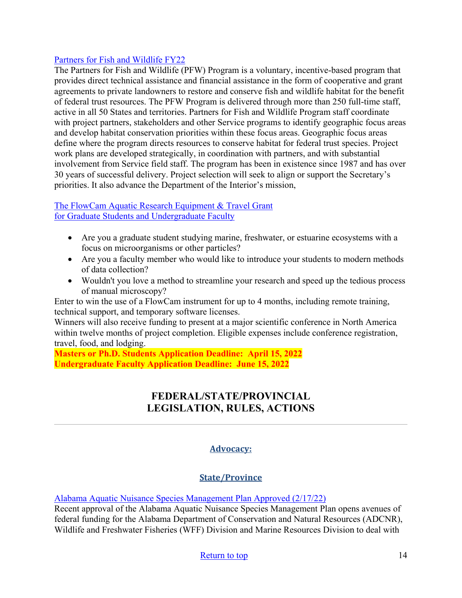#### [Partners for Fish and Wildlife FY22](https://www.grants.gov/web/grants/view-opportunity.html?oppId=336921)

The Partners for Fish and Wildlife (PFW) Program is a voluntary, incentive-based program that provides direct technical assistance and financial assistance in the form of cooperative and grant agreements to private landowners to restore and conserve fish and wildlife habitat for the benefit of federal trust resources. The PFW Program is delivered through more than 250 full-time staff, active in all 50 States and territories. Partners for Fish and Wildlife Program staff coordinate with project partners, stakeholders and other Service programs to identify geographic focus areas and develop habitat conservation priorities within these focus areas. Geographic focus areas define where the program directs resources to conserve habitat for federal trust species. Project work plans are developed strategically, in coordination with partners, and with substantial involvement from Service field staff. The program has been in existence since 1987 and has over 30 years of successful delivery. Project selection will seek to align or support the Secretary's priorities. It also advance the Department of the Interior's mission,

#### [The FlowCam Aquatic Research Equipment & Travel Grant](https://info.fluidimaging.com/flowcam-student-grant-2022?utm_campaign=FlowCam%20Student%20Grant%20Program%20-%202022&utm_medium=email&_hsmi=201999501&_hsenc=p2ANqtz-8ocExbgopRtkyNWxi0ljPjBorrFvK_wIwUD_KR7epglcNO-AO_DQ4NmoDkrNWY7LVtQd1Pk4pv8bA1I0u-TD5hWn2IAw&utm_content=201914302&utm_source=hs_email) [for Graduate Students and Undergraduate Faculty](https://info.fluidimaging.com/flowcam-student-grant-2022?utm_campaign=FlowCam%20Student%20Grant%20Program%20-%202022&utm_medium=email&_hsmi=201999501&_hsenc=p2ANqtz-8ocExbgopRtkyNWxi0ljPjBorrFvK_wIwUD_KR7epglcNO-AO_DQ4NmoDkrNWY7LVtQd1Pk4pv8bA1I0u-TD5hWn2IAw&utm_content=201914302&utm_source=hs_email)

- Are you a graduate student studying marine, freshwater, or estuarine ecosystems with a focus on microorganisms or other particles?
- Are you a faculty member who would like to introduce your students to modern methods of data collection?
- Wouldn't you love a method to streamline your research and speed up the tedious process of manual microscopy?

Enter to win the use of a FlowCam instrument for up to 4 months, including remote training, technical support, and temporary software licenses.

Winners will also receive funding to present at a major scientific conference in North America within twelve months of project completion. Eligible expenses include conference registration, travel, food, and lodging.

<span id="page-13-0"></span>**Masters or Ph.D. Students Application Deadline: April 15, 2022 Undergraduate Faculty Application Deadline: June 15, 2022** 

## **FEDERAL/STATE/PROVINCIAL LEGISLATION, RULES, ACTIONS**

## **Advocacy:**

## **State/Province**

[Alabama Aquatic Nuisance Species Management Plan Approved \(2/17/22\)](https://www.outdooralabama.com/articles/alabama-aquatic-nuisance-species-management-plan-approved?utm_source=feedburner&utm_medium=email)

Recent approval of the Alabama Aquatic Nuisance Species Management Plan opens avenues of federal funding for the Alabama Department of Conservation and Natural Resources (ADCNR), Wildlife and Freshwater Fisheries (WFF) Division and Marine Resources Division to deal with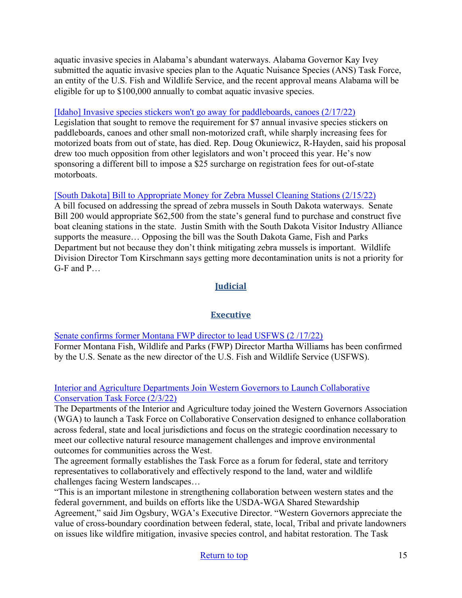aquatic invasive species in Alabama's abundant waterways. Alabama Governor Kay Ivey submitted the aquatic invasive species plan to the Aquatic Nuisance Species (ANS) Task Force, an entity of the U.S. Fish and Wildlife Service, and the recent approval means Alabama will be eligible for up to \$100,000 annually to combat aquatic invasive species.

#### [\[Idaho\] Invasive species stickers won't go away for paddleboards, canoes \(2/17/22\)](https://www.idahopress.com/news/local/invasive-species-stickers-wont-go-away-for-paddleboards-canoes/article_663e7e17-38ab-5ae4-9352-2eedac085e4d.html)

Legislation that sought to remove the requirement for \$7 annual invasive species stickers on paddleboards, canoes and other small non-motorized craft, while sharply increasing fees for motorized boats from out of state, has died. Rep. Doug Okuniewicz, R-Hayden, said his proposal drew too much opposition from other legislators and won't proceed this year. He's now sponsoring a different bill to impose a \$25 surcharge on registration fees for out-of-state motorboats.

## [\[South Dakota\] Bill to Appropriate Money for Zebra Mussel Cleaning Stations \(2/15/22\)](https://www.mykxlg.com/news/state/bill-to-appropriate-money-for-zebra-mussel-cleaning-stations/article_81d7409c-8ed9-11ec-8126-ab93ec448280.html)

A bill focused on addressing the spread of zebra mussels in South Dakota waterways. Senate Bill 200 would appropriate \$62,500 from the state's general fund to purchase and construct five boat cleaning stations in the state. Justin Smith with the South Dakota Visitor Industry Alliance supports the measure… Opposing the bill was the South Dakota Game, Fish and Parks Department but not because they don't think mitigating zebra mussels is important. Wildlife Division Director Tom Kirschmann says getting more decontamination units is not a priority for G-F and P…

## **Judicial**

## **Executive**

[Senate confirms former Montana FWP director to lead USFWS \(2 /17/22\)](https://www.ktvh.com/news/senate-confirms-former-montana-fwp-director-to-lead-usfws) Former Montana Fish, Wildlife and Parks (FWP) Director Martha Williams has been confirmed by the U.S. Senate as the new director of the U.S. Fish and Wildlife Service (USFWS).

#### [Interior and Agriculture Departments Join Western Governors to Launch Collaborative](https://www.doi.gov/pressreleases/interior-and-agriculture-departments-join-western-governors-launch-collaborative)  [Conservation Task Force \(2/3/22\)](https://www.doi.gov/pressreleases/interior-and-agriculture-departments-join-western-governors-launch-collaborative)

The Departments of the Interior and Agriculture today joined the Western Governors Association (WGA) to launch a Task Force on Collaborative Conservation designed to enhance collaboration across federal, state and local jurisdictions and focus on the strategic coordination necessary to meet our collective natural resource management challenges and improve environmental outcomes for communities across the West.

The agreement formally establishes the Task Force as a forum for federal, state and territory representatives to collaboratively and effectively respond to the land, water and wildlife challenges facing Western landscapes…

"This is an important milestone in strengthening collaboration between western states and the federal government, and builds on efforts like the USDA-WGA Shared Stewardship Agreement," said Jim Ogsbury, WGA's Executive Director. "Western Governors appreciate the value of cross-boundary coordination between federal, state, local, Tribal and private landowners on issues like wildfire mitigation, invasive species control, and habitat restoration. The Task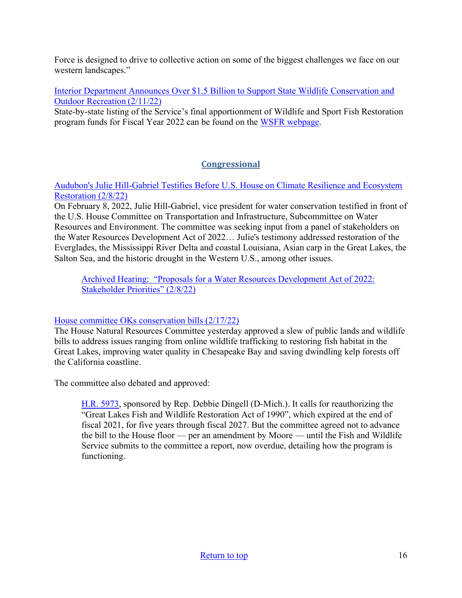Force is designed to drive to collective action on some of the biggest challenges we face on our western landscapes."

[Interior Department Announces Over \\$1.5 Billion to Support State Wildlife Conservation and](https://www.doi.gov/pressreleases/interior-department-announces-over-15-billion-support-state-wildlife-conservation-and)  [Outdoor Recreation \(2/11/22\)](https://www.doi.gov/pressreleases/interior-department-announces-over-15-billion-support-state-wildlife-conservation-and)

State-by-state listing of the Service's final apportionment of Wildlife and Sport Fish Restoration program funds for Fiscal Year 2022 can be found on the [WSFR webpage](https://www.fws.gov/wsfrprograms/). 

## **Congressional**

[Audubon's Julie Hill-Gabriel Testifies Before U.S. House on Climate Resilience and Ecosystem](https://www.audubon.org/news/audubons-julie-hill-gabriel-testifies-us-house-climate-resilience-and-ecosystem)  [Restoration \(2/8/22\)](https://www.audubon.org/news/audubons-julie-hill-gabriel-testifies-us-house-climate-resilience-and-ecosystem)

On February 8, 2022, Julie Hill-Gabriel, vice president for water conservation testified in front of the U.S. House Committee on Transportation and Infrastructure, Subcommittee on Water Resources and Environment. The committee was seeking input from a panel of stakeholders on the Water Resources Development Act of 2022… Julie's testimony addressed restoration of the Everglades, the Mississippi River Delta and coastal Louisiana, Asian carp in the Great Lakes, the Salton Sea, and the historic drought in the Western U.S., among other issues.

[Archived Hearing: "Proposals for a Water Resources Development Act of 2022:](https://transportation.house.gov/committee-activity/hearings/proposals-for-a-water-resources-development-act-of-2022-stakeholder-priorities)  [Stakeholder Priorities" \(2/8/22\)](https://transportation.house.gov/committee-activity/hearings/proposals-for-a-water-resources-development-act-of-2022-stakeholder-priorities)

## [House committee OKs conservation bills \(2/17/22\)](https://huffman.house.gov/media-center/in-the-news/house-committee-oks-conservation-bills-over-gop-grumbling)

The House Natural Resources Committee yesterday approved a slew of public lands and wildlife bills to address issues ranging from online wildlife trafficking to restoring fish habitat in the Great Lakes, improving water quality in Chesapeake Bay and saving dwindling kelp forests off the California coastline.

The committee also debated and approved:

[H.R. 5973,](https://www.congress.gov/117/bills/hr5973/BILLS-117hr5973ih.pdf) sponsored by Rep. Debbie Dingell (D-Mich.). It calls for reauthorizing the "Great Lakes Fish and Wildlife Restoration Act of 1990", which expired at the end of fiscal 2021, for five years through fiscal 2027. But the committee agreed not to advance the bill to the House floor — per an amendment by Moore — until the Fish and Wildlife Service submits to the committee a report, now overdue, detailing how the program is functioning.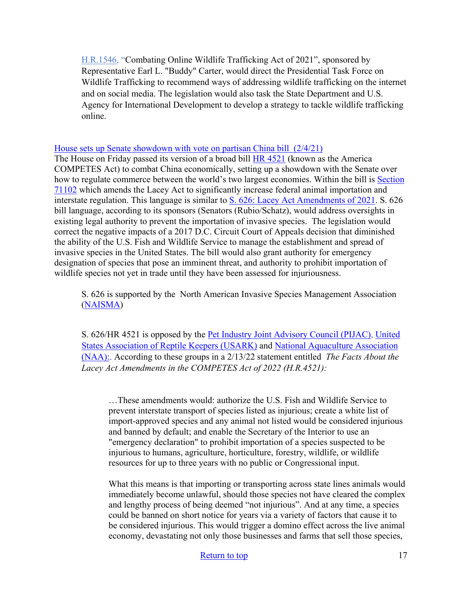[H.R.1546,](https://www.congress.gov/bill/117th-congress/house-bill/1546/text) "Combating Online Wildlife Trafficking Act of 2021", sponsored by Representative Earl L. "Buddy" Carter, would direct the Presidential Task Force on Wildlife Trafficking to recommend ways of addressing wildlife trafficking on the internet and on social media. The legislation would also task the State Department and U.S. Agency for International Development to develop a strategy to tackle wildlife trafficking online.

#### [House sets up Senate showdown with vote on partisan China bill \(2/4/21\)](https://www.politico.com/news/2022/02/04/house-senate-showdown-china-bill-00005575)

The House on Friday passed its version of a broad bill [HR 4521](https://www.congress.gov/bill/117th-congress/house-bill/4521?q=%7B%22search%22%3A%5B%22HR+4521%22%2C%22HR%22%2C%224521%22%5D%7D&s=1&r=1) (known as the America COMPETES Act) to combat China economically, setting up a showdown with the Senate over how to regulate commerce between the world's two largest economies. Within the bill is [Section](https://usark.org/wp-content/uploads/2022/01/2022-HR4521-excerpt.pdf)  [71102](https://usark.org/wp-content/uploads/2022/01/2022-HR4521-excerpt.pdf) which amends the Lacey Act to significantly increase federal animal importation and interstate regulation. This language is similar to [S. 626: Lacey Act Amendments of 2021.](https://www.congress.gov/bill/117th-congress/senate-bill/626/text?r=7&s=1) S. 626 bill language, according to its sponsors (Senators (Rubio/Schatz), would address oversights in existing legal authority to prevent the importation of invasive species. The legislation would correct the negative impacts of a 2017 D.C. Circuit Court of Appeals decision that diminished the ability of the U.S. Fish and Wildlife Service to manage the establishment and spread of invasive species in the United States. The bill would also grant authority for emergency designation of species that pose an imminent threat, and authority to prohibit importation of wildlife species not yet in trade until they have been assessed for injuriousness.

S. 626 is supported by the North American Invasive Species Management Association [\(NAISMA\)](https://naisma.org/naisma-resources/government-relations/)

S. 626/HR 4521 is opposed by the [Pet Industry Joint Advisory Council \(PIJAC\),](https://pijac.org/who-we-are) United [States Association of Reptile Keepers \(USARK\)](https://usark.org/) and [National Aquaculture Association](http://thenaa.net/)  [\(NAA\):.](http://thenaa.net/) According to these groups in a 2/13/22 statement entitled *The Facts About the Lacey Act Amendments in the COMPETES Act of 2022 (H.R.4521):*

…These amendments would: authorize the U.S. Fish and Wildlife Service to prevent interstate transport of species listed as injurious; create a white list of import-approved species and any animal not listed would be considered injurious and banned by default; and enable the Secretary of the Interior to use an "emergency declaration" to prohibit importation of a species suspected to be injurious to humans, agriculture, horticulture, forestry, wildlife, or wildlife resources for up to three years with no public or Congressional input.

What this means is that importing or transporting across state lines animals would immediately become unlawful, should those species not have cleared the complex and lengthy process of being deemed "not injurious". And at any time, a species could be banned on short notice for years via a variety of factors that cause it to be considered injurious. This would trigger a domino effect across the live animal economy, devastating not only those businesses and farms that sell those species,

#### [Return to top](#page-0-0) 17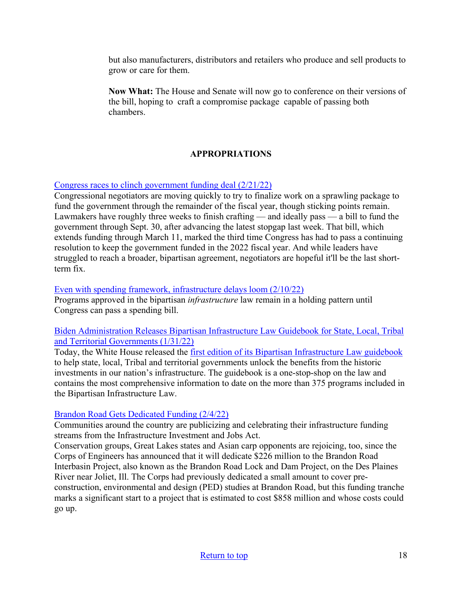but also manufacturers, distributors and retailers who produce and sell products to grow or care for them.

**Now What:** The House and Senate will now go to conference on their versions of the bill, hoping to craft a compromise package capable of passing both chambers.

## **APPROPRIATIONS**

[Congress races to clinch government funding deal \(2/21/22\)](https://thehill.com/homenews/senate/595016-congress-races-to-clinch-government-funding-deal) 

Congressional negotiators are moving quickly to try to finalize work on a sprawling package to fund the government through the remainder of the fiscal year, though sticking points remain. Lawmakers have roughly three weeks to finish crafting — and ideally pass — a bill to fund the government through Sept. 30, after advancing the latest stopgap last week. That bill, which extends funding through March 11, marked the third time Congress has had to pass a continuing resolution to keep the government funded in the 2022 fiscal year. And while leaders have struggled to reach a broader, bipartisan agreement, negotiators are hopeful it'll be the last shortterm fix.

#### [Even with spending framework, infrastructure delays loom \(2/10/22\)](https://rollcall.com/2022/02/10/even-with-spending-framework-infrastructure-delays-loom/)

Programs approved in the bipartisan *infrastructure* law remain in a holding pattern until Congress can pass a spending bill.

#### [Biden Administration Releases Bipartisan Infrastructure Law Guidebook for State, Local, Tribal](https://www.whitehouse.gov/briefing-room/statements-releases/2022/01/31/biden-administration-releases-bipartisan-infrastructure-law-guidebook-for-state-local-tribal-and-territorial-governments/)  [and Territorial Governments \(1/31/22\)](https://www.whitehouse.gov/briefing-room/statements-releases/2022/01/31/biden-administration-releases-bipartisan-infrastructure-law-guidebook-for-state-local-tribal-and-territorial-governments/)

Today, the White House released the [first edition of its Bipartisan Infrastructure Law guidebook](https://www.build.gov/) to help state, local, Tribal and territorial governments unlock the benefits from the historic investments in our nation's infrastructure. The guidebook is a one-stop-shop on the law and contains the most comprehensive information to date on the more than 375 programs included in the Bipartisan Infrastructure Law.

#### [Brandon Road Gets Dedicated Funding \(2/4/22\)](https://www.waterwaysjournal.net/2022/02/04/brandon-road-gets-dedicated-funding/)

Communities around the country are publicizing and celebrating their infrastructure funding streams from the Infrastructure Investment and Jobs Act.

Conservation groups, Great Lakes states and Asian carp opponents are rejoicing, too, since the Corps of Engineers has announced that it will dedicate \$226 million to the Brandon Road Interbasin Project, also known as the Brandon Road Lock and Dam Project, on the Des Plaines River near Joliet, Ill. The Corps had previously dedicated a small amount to cover preconstruction, environmental and design (PED) studies at Brandon Road, but this funding tranche marks a significant start to a project that is estimated to cost \$858 million and whose costs could go up.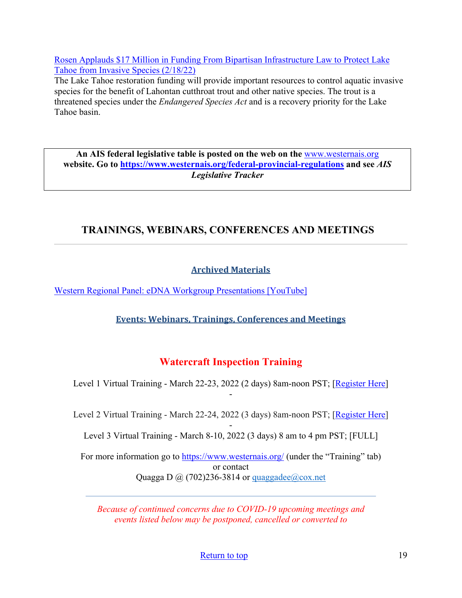[Rosen Applauds \\$17 Million in Funding From Bipartisan Infrastructure Law to Protect Lake](https://www.rosen.senate.gov/rosen-applauds-17-million-funding-bipartisan-infrastructure-law-protect-lake-tahoe-invasive-species)  [Tahoe from Invasive Species \(2/18/22\)](https://www.rosen.senate.gov/rosen-applauds-17-million-funding-bipartisan-infrastructure-law-protect-lake-tahoe-invasive-species)

The Lake Tahoe restoration funding will provide important resources to control aquatic invasive species for the benefit of Lahontan cutthroat trout and other native species. The trout is a threatened species under the *Endangered Species Act* and is a recovery priority for the Lake Tahoe basin.

**An AIS federal legislative table is posted on the web on the** [www.westernais.org](http://www.westernais.org/) **website. Go to<https://www.westernais.org/federal-provincial-regulations> and see** *AIS Legislative Tracker*

# <span id="page-18-0"></span>**TRAININGS, WEBINARS, CONFERENCES AND MEETINGS**

## **Archived Materials**

[Western Regional Panel: eDNA Workgroup Presentations \[YouTube\]](https://www.youtube.com/playlist?list=PLWpXHoKRy2lKQ6BQjyvVJgnrd-_Y-rz3p)

**Events: Webinars, Trainings, Conferences and Meetings**

# **Watercraft Inspection Training**

Level 1 Virtual Training - March 22-23, 2022 (2 days) 8am-noon PST; [\[Register Here\]](https://us02web.zoom.us/meeting/register/tZcpcO-hpz8jGNJ6Weax-__pDobzlIzmahMU) -

Level 2 Virtual Training - March 22-24, 2022 (3 days) 8am-noon PST; [\[Register Here\]](https://us02web.zoom.us/meeting/register/tZcpcO-hpz8jGNJ6Weax-__pDobzlIzmahMU)

- Level 3 Virtual Training - March 8-10, 2022 (3 days) 8 am to 4 pm PST; [FULL]

For more information go to<https://www.westernais.org/> (under the "Training" tab) or contact Quagga D  $\omega$  (702)236-3814 or quaggadee $\omega$ cox.net

*Because of continued concerns due to COVID-19 upcoming meetings and events listed below may be postponed, cancelled or converted to* 

[Return to top](#page-0-0) 19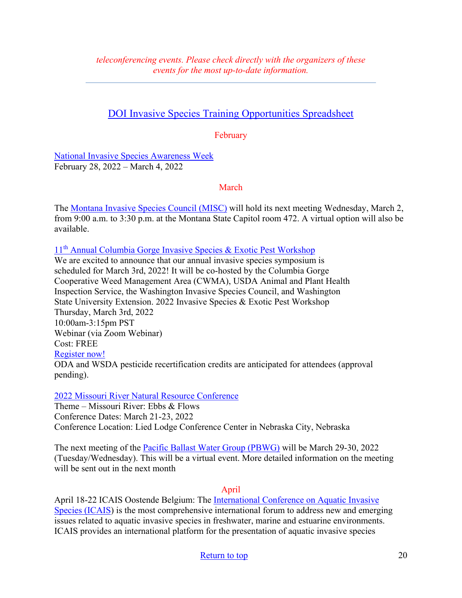# [DOI Invasive Species Training Opportunities Spreadsheet](https://www.doi.gov/sites/doi.gov/files/doi-invasive-species-training-opportunities.pdf)

February

[National Invasive Species Awareness Week](https://www.nisaw.org/?utm_medium=email&utm_source=govdelivery) February 28, 2022 – March 4, 2022

March

The [Montana Invasive Species Council \(MISC\)](https://invasivespecies.mt.gov/misc/) will hold its next meeting Wednesday, March 2, from 9:00 a.m. to 3:30 p.m. at the Montana State Capitol room 472. A virtual option will also be available.

11th [Annual Columbia Gorge Invasive Species & Exotic Pest Workshop](https://extension.oregonstate.edu/events/2022-invasive-species-exotic-pest-workshop-save-date)

We are excited to announce that our annual invasive species symposium is scheduled for March 3rd, 2022! It will be co-hosted by the Columbia Gorge Cooperative Weed Management Area (CWMA), USDA Animal and Plant Health Inspection Service, the Washington Invasive Species Council, and Washington State University Extension. 2022 Invasive Species & Exotic Pest Workshop Thursday, March 3rd, 2022 10:00am-3:15pm PST Webinar (via Zoom Webinar) Cost: FREE [Register now!](https://us02web.zoom.us/webinar/register/WN_lwjN_GYQT7O09FEUJUqkTw) ODA and WSDA pesticide recertification credits are anticipated for attendees (approval pending).

[2022 Missouri River Natural Resource Conference](https://mrnrc2022.com/)

Theme – Missouri River: Ebbs & Flows Conference Dates: March 21-23, 2022 Conference Location: Lied Lodge Conference Center in Nebraska City, Nebraska

The next meeting of the [Pacific Ballast Water Group \(PBWG\)](https://www.westernais.org/ballast-water) will be March 29-30, 2022 (Tuesday/Wednesday). This will be a virtual event. More detailed information on the meeting will be sent out in the next month

#### April

April 18-22 ICAIS Oostende Belgium: The [International Conference on Aquatic Invasive](http://www.icais.org/)  [Species \(ICAIS\)](http://www.icais.org/) is the most comprehensive international forum to address new and emerging issues related to aquatic invasive species in freshwater, marine and estuarine environments. ICAIS provides an international platform for the presentation of aquatic invasive species

## [Return to top](#page-0-0) 20